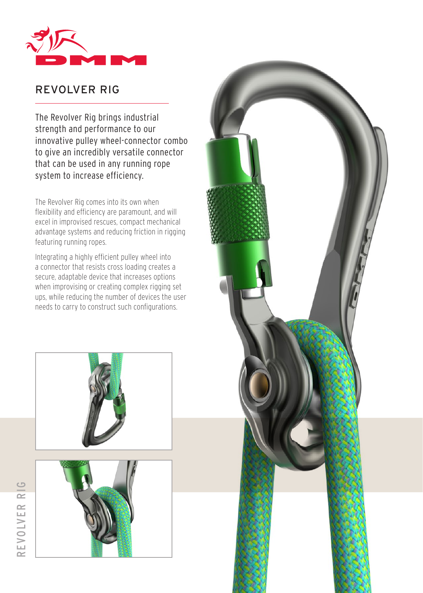

# REVOLVER RIG

The Revolver Rig brings industrial strength and performance to our innovative pulley wheel-connector combo to give an incredibly versatile connector that can be used in any running rope system to increase efficiency.

The Revolver Rig comes into its own when flexibility and efficiency are paramount, and will excel in improvised rescues, compact mechanical advantage systems and reducing friction in rigging featuring running ropes.

Integrating a highly efficient pulley wheel into a connector that resists cross loading creates a secure, adaptable device that increases options when improvising or creating complex rigging set ups, while reducing the number of devices the user needs to carry to construct such configurations.